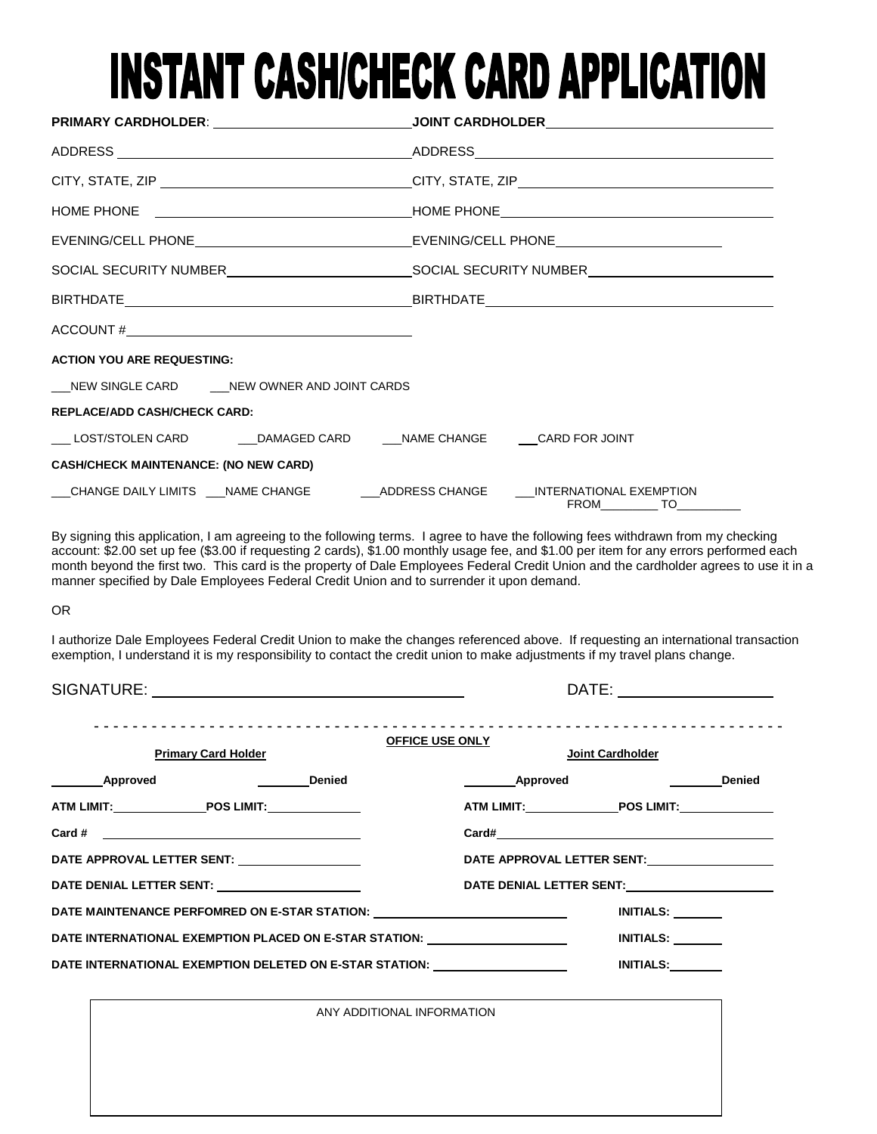# **INSTANT CASH/CHECK CARD APPLICATION**

|                                                                                           | PRIMARY CARDHOLDER: __________________________________JOINT CARDHOLDER______________________________ |  |
|-------------------------------------------------------------------------------------------|------------------------------------------------------------------------------------------------------|--|
|                                                                                           |                                                                                                      |  |
|                                                                                           |                                                                                                      |  |
|                                                                                           |                                                                                                      |  |
|                                                                                           |                                                                                                      |  |
|                                                                                           |                                                                                                      |  |
|                                                                                           |                                                                                                      |  |
| $\text{ACCOUNT} \# \_$                                                                    |                                                                                                      |  |
| <b>ACTION YOU ARE REQUESTING:</b>                                                         |                                                                                                      |  |
| __NEW SINGLE CARD ____NEW OWNER AND JOINT CARDS                                           |                                                                                                      |  |
| <b>REPLACE/ADD CASH/CHECK CARD:</b>                                                       |                                                                                                      |  |
| ___ LOST/STOLEN CARD ________DAMAGED CARD _____NAME CHANGE _____CARD FOR JOINT            |                                                                                                      |  |
| <b>CASH/CHECK MAINTENANCE: (NO NEW CARD)</b>                                              |                                                                                                      |  |
| __CHANGE DAILY LIMITS ___NAME CHANGE _________ADDRESS CHANGE _____INTERNATIONAL EXEMPTION | FROM TO                                                                                              |  |

By signing this application, I am agreeing to the following terms. I agree to have the following fees withdrawn from my checking account: \$2.00 set up fee (\$3.00 if requesting 2 cards), \$1.00 monthly usage fee, and \$1.00 per item for any errors performed each month beyond the first two. This card is the property of Dale Employees Federal Credit Union and the cardholder agrees to use it in a manner specified by Dale Employees Federal Credit Union and to surrender it upon demand.

OR

I authorize Dale Employees Federal Credit Union to make the changes referenced above. If requesting an international transaction exemption, I understand it is my responsibility to contact the credit union to make adjustments if my travel plans change.

| SIGNATURE: __________________________________                                                                                                                                                                                  |  | DATE: _______________                                                                                          |                  |
|--------------------------------------------------------------------------------------------------------------------------------------------------------------------------------------------------------------------------------|--|----------------------------------------------------------------------------------------------------------------|------------------|
| <b>Primary Card Holder</b>                                                                                                                                                                                                     |  | <b>OFFICE USE ONLY</b><br>Joint Cardholder                                                                     |                  |
| <b>Example 19 Denied</b><br>___________Approved                                                                                                                                                                                |  | Approved Denied                                                                                                |                  |
| ATM LIMIT: POS LIMIT:                                                                                                                                                                                                          |  | ATM LIMIT: POS LIMIT:                                                                                          |                  |
| Card # $\qquad \qquad$                                                                                                                                                                                                         |  |                                                                                                                |                  |
| DATE APPROVAL LETTER SENT: NAMEL APPROVAL                                                                                                                                                                                      |  | DATE APPROVAL LETTER SENT: VALUE APPROVAL                                                                      |                  |
| DATE DENIAL LETTER SENT: NAMEL AND THE SERIES OF STREET AND THE SERIES OF STREET AND THE SERIES OF STREET AND THE STREET AND THE STREET AND THE STREET AND THE STREET AND THE STREET AND THE STREET AND THE STREET AND THE STR |  | DATE DENIAL LETTER SENT: NAMEL AND RESERVE THE RESERVE THAT A RESERVE THE RESERVE THAT A RESERVE THE RESERVE T |                  |
| DATE MAINTENANCE PERFOMRED ON E-STAR STATION:                                                                                                                                                                                  |  |                                                                                                                | <b>INITIALS:</b> |
| DATE INTERNATIONAL EXEMPTION PLACED ON E-STAR STATION: _________________________                                                                                                                                               |  |                                                                                                                | <b>INITIALS:</b> |
| DATE INTERNATIONAL EXEMPTION DELETED ON E-STAR STATION: ________________________                                                                                                                                               |  |                                                                                                                | <b>INITIALS:</b> |

ANY ADDITIONAL INFORMATION